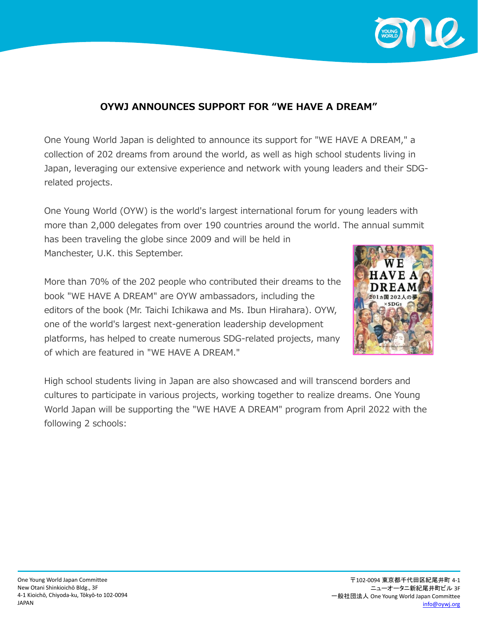

## **OYWJ ANNOUNCES SUPPORT FOR "WE HAVE A DREAM"**

One Young World Japan is delighted to announce its support for "WE HAVE A DREAM," a collection of 202 dreams from around the world, as well as high school students living in Japan, leveraging our extensive experience and network with young leaders and their SDGrelated projects.

One Young World (OYW) is the world's largest international forum for young leaders with more than 2,000 delegates from over 190 countries around the world. The annual summit has been traveling the globe since 2009 and will be held in Manchester, U.K. this September.

More than 70% of the 202 people who contributed their dreams to the book "WE HAVE A DREAM" are OYW ambassadors, including the editors of the book (Mr. Taichi Ichikawa and Ms. Ibun Hirahara). OYW, one of the world's largest next-generation leadership development platforms, has helped to create numerous SDG-related projects, many of which are featured in "WE HAVE A DREAM."



High school students living in Japan are also showcased and will transcend borders and cultures to participate in various projects, working together to realize dreams. One Young World Japan will be supporting the "WE HAVE A DREAM" program from April 2022 with the following 2 schools: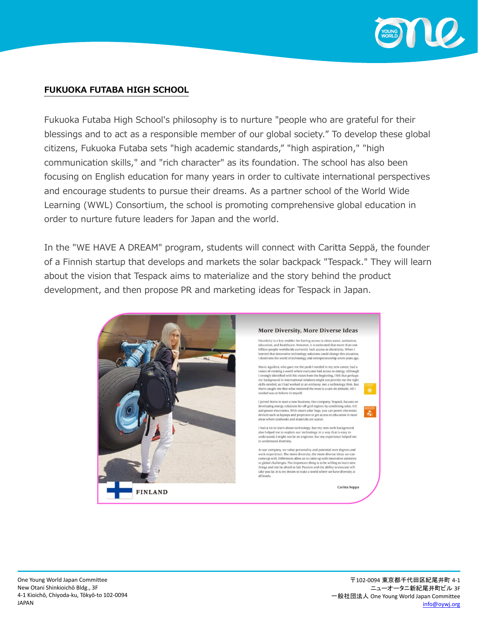

#### **FUKUOKA FUTABA HIGH SCHOOL**

Fukuoka Futaba High School's philosophy is to nurture "people who are grateful for their blessings and to act as a responsible member of our global society." To develop these global citizens, Fukuoka Futaba sets "high academic standards," "high aspiration," "high communication skills," and "rich character" as its foundation. The school has also been focusing on English education for many years in order to cultivate international perspectives and encourage students to pursue their dreams. As a partner school of the World Wide Learning (WWL) Consortium, the school is promoting comprehensive global education in order to nurture future leaders for Japan and the world.

In the "WE HAVE A DREAM" program, students will connect with Caritta Seppä, the founder of a Finnish startup that develops and markets the solar backpack "Tespack." They will learn about the vision that Tespack aims to materialize and the story behind the product development, and then propose PR and marketing ideas for Tespack in Japan.

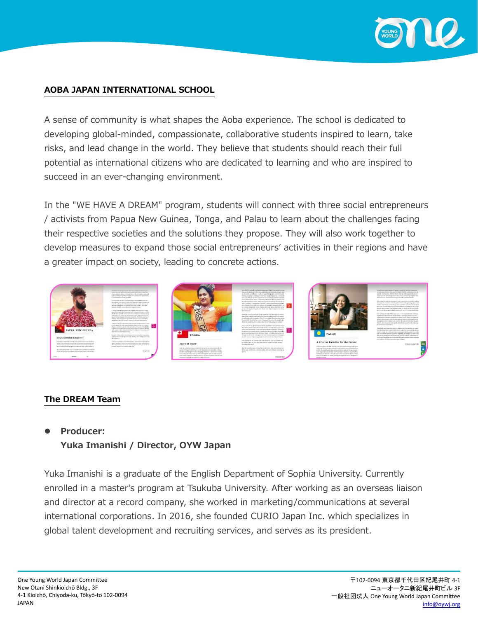

#### **AOBA JAPAN INTERNATIONAL SCHOOL**

A sense of community is what shapes the Aoba experience. The school is dedicated to developing global-minded, compassionate, collaborative students inspired to learn, take risks, and lead change in the world. They believe that students should reach their full potential as international citizens who are dedicated to learning and who are inspired to succeed in an ever-changing environment.

In the "WE HAVE A DREAM" program, students will connect with three social entrepreneurs / activists from Papua New Guinea, Tonga, and Palau to learn about the challenges facing their respective societies and the solutions they propose. They will also work together to develop measures to expand those social entrepreneurs' activities in their regions and have a greater impact on society, leading to concrete actions.



#### **The DREAM Team**

#### ⚫ **Producer:**

### **Yuka Imanishi / Director, OYW Japan**

Yuka Imanishi is a graduate of the English Department of Sophia University. Currently enrolled in a master's program at Tsukuba University. After working as an overseas liaison and director at a record company, she worked in marketing/communications at several international corporations. In 2016, she founded CURIO Japan Inc. which specializes in global talent development and recruiting services, and serves as its president.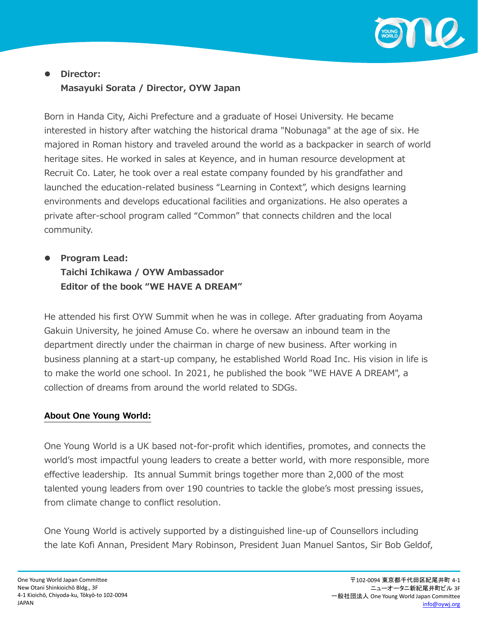

# ⚫ **Director: Masayuki Sorata / Director, OYW Japan**

Born in Handa City, Aichi Prefecture and a graduate of Hosei University. He became interested in history after watching the historical drama "Nobunaga" at the age of six. He majored in Roman history and traveled around the world as a backpacker in search of world heritage sites. He worked in sales at Keyence, and in human resource development at Recruit Co. Later, he took over a real estate company founded by his grandfather and launched the education-related business "Learning in Context", which designs learning environments and develops educational facilities and organizations. He also operates a private after-school program called "Common" that connects children and the local community.

# ⚫ **Program Lead: Taichi Ichikawa / OYW Ambassador Editor of the book "WE HAVE A DREAM"**

He attended his first OYW Summit when he was in college. After graduating from Aoyama Gakuin University, he joined Amuse Co. where he oversaw an inbound team in the department directly under the chairman in charge of new business. After working in business planning at a start-up company, he established World Road Inc. His vision in life is to make the world one school. In 2021, he published the book "WE HAVE A DREAM", a collection of dreams from around the world related to SDGs.

### **About One Young World:**

One Young World is a UK based not-for-profit which identifies, promotes, and connects the world's most impactful young leaders to create a better world, with more responsible, more effective leadership. Its annual Summit brings together more than 2,000 of the most talented young leaders from over 190 countries to tackle the globe's most pressing issues, from climate change to conflict resolution.

One Young World is actively supported by a distinguished line-up of Counsellors including the late Kofi Annan, President Mary Robinson, President Juan Manuel Santos, Sir Bob Geldof,